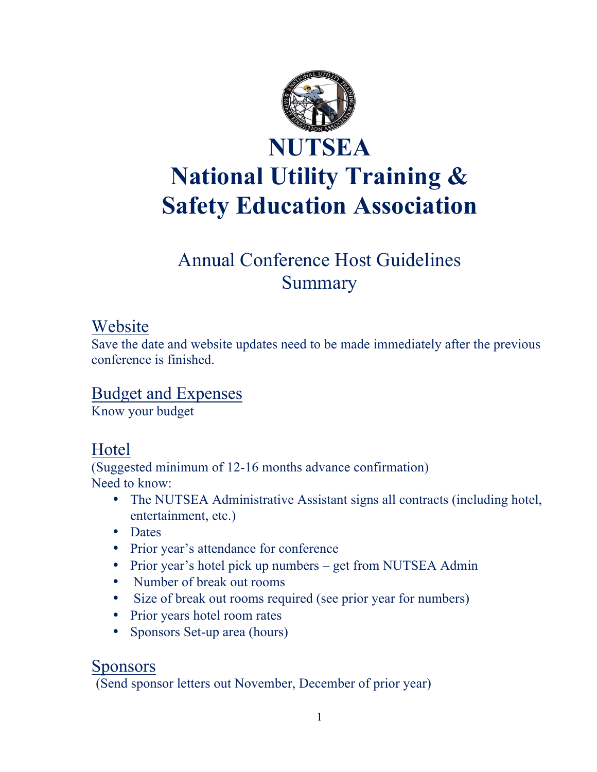

# Annual Conference Host Guidelines Summary

### Website

Save the date and website updates need to be made immediately after the previous conference is finished.

# Budget and Expenses

Know your budget

# Hotel

(Suggested minimum of 12-16 months advance confirmation) Need to know:

- The NUTSEA Administrative Assistant signs all contracts (including hotel, entertainment, etc.)
- Dates
- Prior year's attendance for conference
- Prior year's hotel pick up numbers get from NUTSEA Admin
- Number of break out rooms
- Size of break out rooms required (see prior year for numbers)
- Prior years hotel room rates
- Sponsors Set-up area (hours)

### Sponsors

(Send sponsor letters out November, December of prior year)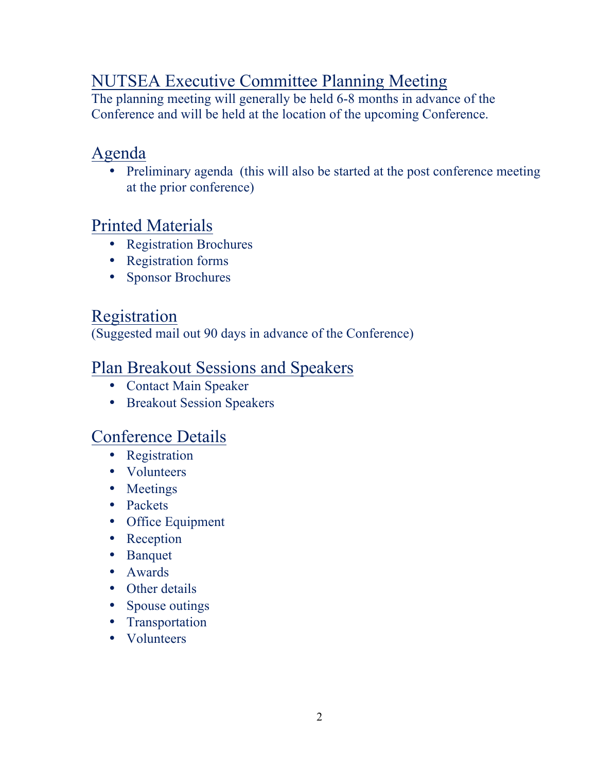# NUTSEA Executive Committee Planning Meeting

The planning meeting will generally be held 6-8 months in advance of the Conference and will be held at the location of the upcoming Conference.

# Agenda

• Preliminary agenda (this will also be started at the post conference meeting at the prior conference)

# Printed Materials

- Registration Brochures
- Registration forms
- Sponsor Brochures

### Registration

(Suggested mail out 90 days in advance of the Conference)

## Plan Breakout Sessions and Speakers

- Contact Main Speaker
- Breakout Session Speakers

# Conference Details

- Registration
- Volunteers
- Meetings
- Packets
- Office Equipment
- Reception
- Banquet
- Awards
- Other details
- Spouse outings
- Transportation
- Volunteers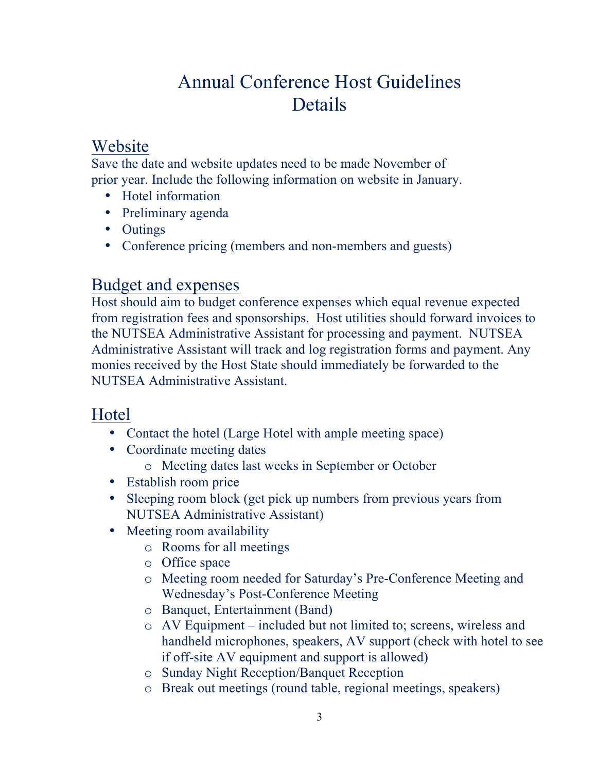# Annual Conference Host Guidelines Details

### Website

Save the date and website updates need to be made November of prior year. Include the following information on website in January.

- Hotel information
- Preliminary agenda
- Outings
- Conference pricing (members and non-members and guests)

# Budget and expenses

Host should aim to budget conference expenses which equal revenue expected from registration fees and sponsorships. Host utilities should forward invoices to the NUTSEA Administrative Assistant for processing and payment. NUTSEA Administrative Assistant will track and log registration forms and payment. Any monies received by the Host State should immediately be forwarded to the NUTSEA Administrative Assistant.

# Hotel

- Contact the hotel (Large Hotel with ample meeting space)
- Coordinate meeting dates
	- o Meeting dates last weeks in September or October
- Establish room price
- Sleeping room block (get pick up numbers from previous years from NUTSEA Administrative Assistant)
- Meeting room availability
	- o Rooms for all meetings
	- o Office space
	- o Meeting room needed for Saturday's Pre-Conference Meeting and Wednesday's Post-Conference Meeting
	- o Banquet, Entertainment (Band)
	- o AV Equipment included but not limited to; screens, wireless and handheld microphones, speakers, AV support (check with hotel to see if off-site AV equipment and support is allowed)
	- o Sunday Night Reception/Banquet Reception
	- o Break out meetings (round table, regional meetings, speakers)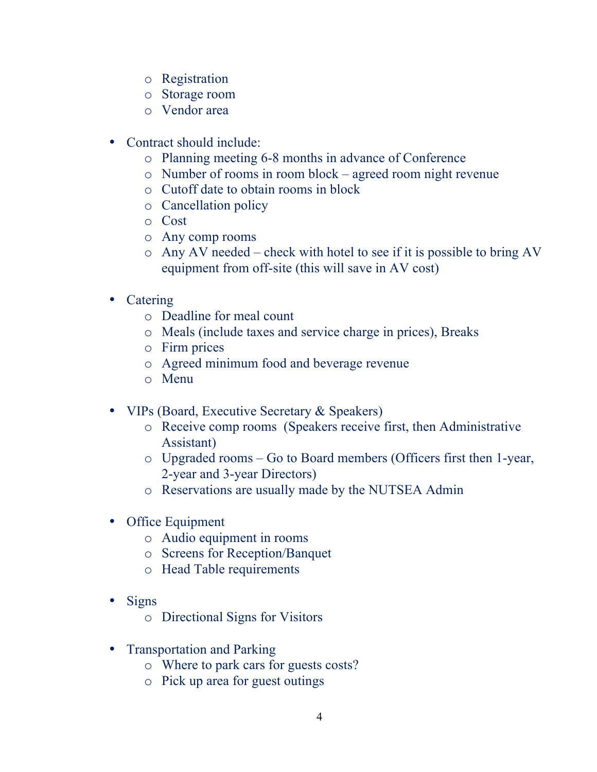- o Registration
- o Storage room
- o Vendor area
- Contract should include:
	- o Planning meeting 6-8 months in advance of Conference
	- o Number of rooms in room block agreed room night revenue
	- o Cutoff date to obtain rooms in block
	- o Cancellation policy
	- o Cost
	- o Any comp rooms
	- o Any AV needed check with hotel to see if it is possible to bring AV equipment from off-site (this will save in AV cost)
- Catering
	- o Deadline for meal count
	- o Meals (include taxes and service charge in prices), Breaks
	- o Firm prices
	- o Agreed minimum food and beverage revenue
	- o Menu
- VIPs (Board, Executive Secretary & Speakers)
	- o Receive comp rooms (Speakers receive first, then Administrative Assistant)
	- o Upgraded rooms Go to Board members (Officers first then 1-year, 2-year and 3-year Directors)
	- o Reservations are usually made by the NUTSEA Admin
- Office Equipment
	- o Audio equipment in rooms
	- o Screens for Reception/Banquet
	- o Head Table requirements
- Signs
	- o Directional Signs for Visitors
- Transportation and Parking
	- o Where to park cars for guests costs?
	- o Pick up area for guest outings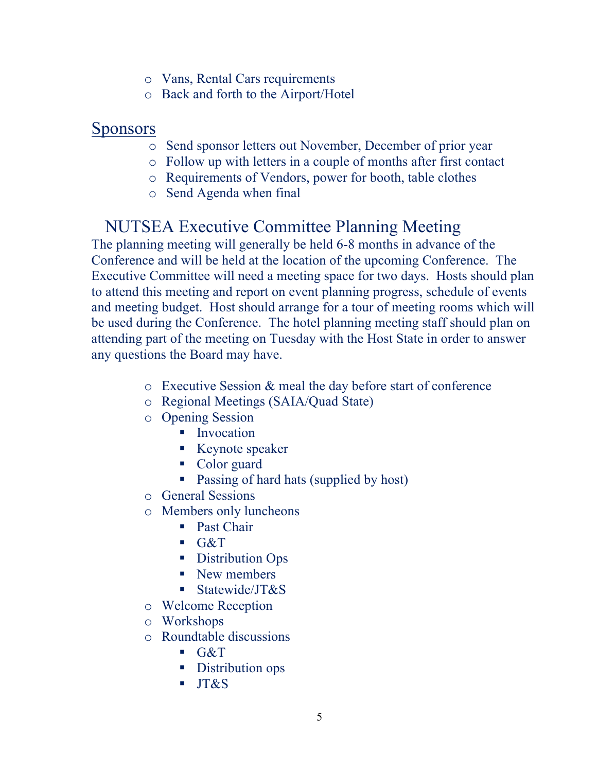- o Vans, Rental Cars requirements
- o Back and forth to the Airport/Hotel

#### Sponsors

- o Send sponsor letters out November, December of prior year
- o Follow up with letters in a couple of months after first contact
- o Requirements of Vendors, power for booth, table clothes
- o Send Agenda when final

# NUTSEA Executive Committee Planning Meeting

The planning meeting will generally be held 6-8 months in advance of the Conference and will be held at the location of the upcoming Conference. The Executive Committee will need a meeting space for two days. Hosts should plan to attend this meeting and report on event planning progress, schedule of events and meeting budget. Host should arrange for a tour of meeting rooms which will be used during the Conference. The hotel planning meeting staff should plan on attending part of the meeting on Tuesday with the Host State in order to answer any questions the Board may have.

- o Executive Session & meal the day before start of conference
- o Regional Meetings (SAIA/Quad State)
- o Opening Session
	- Invocation
	- Keynote speaker
	- Color guard
	- Passing of hard hats (supplied by host)
- o General Sessions
- o Members only luncheons
	- Past Chair
	- $G&T$
	- Distribution Ops
	- New members
	- Statewide/JT&S
- o Welcome Reception
- o Workshops
- o Roundtable discussions
	- $\overline{\text{G&ampT}}$
	- Distribution ops
	- § JT&S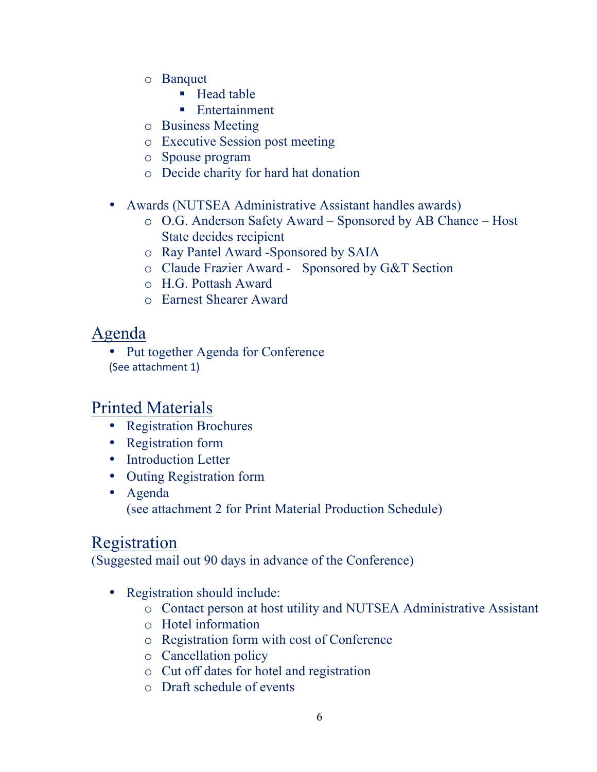- o Banquet
	- Head table
	- Entertainment
- o Business Meeting
- o Executive Session post meeting
- o Spouse program
- o Decide charity for hard hat donation
- Awards (NUTSEA Administrative Assistant handles awards)
	- o O.G. Anderson Safety Award Sponsored by AB Chance Host State decides recipient
	- o Ray Pantel Award -Sponsored by SAIA
	- o Claude Frazier Award Sponsored by G&T Section
	- o H.G. Pottash Award
	- o Earnest Shearer Award

## Agenda

• Put together Agenda for Conference (See attachment 1)

# Printed Materials

- Registration Brochures
- Registration form
- Introduction Letter
- Outing Registration form
- Agenda (see attachment 2 for Print Material Production Schedule)

# Registration

(Suggested mail out 90 days in advance of the Conference)

- Registration should include:
	- o Contact person at host utility and NUTSEA Administrative Assistant
	- o Hotel information
	- o Registration form with cost of Conference
	- o Cancellation policy
	- o Cut off dates for hotel and registration
	- o Draft schedule of events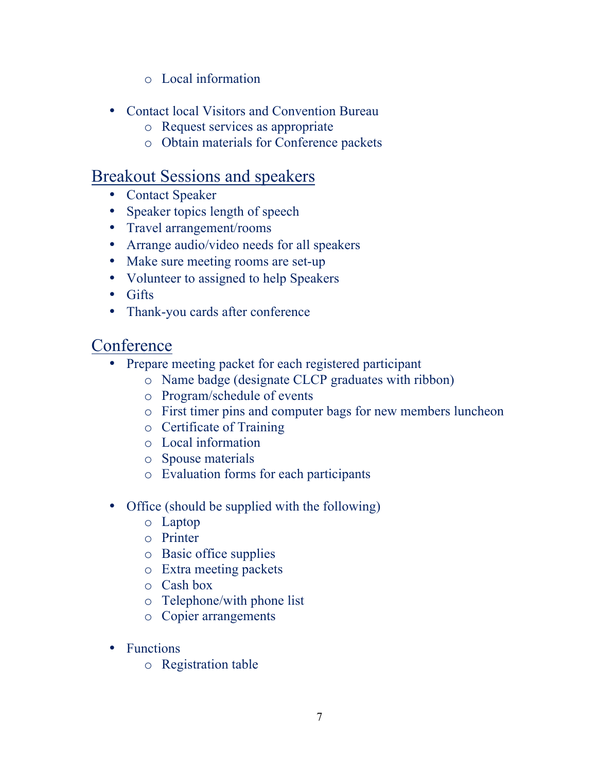- o Local information
- Contact local Visitors and Convention Bureau
	- o Request services as appropriate
	- o Obtain materials for Conference packets

# Breakout Sessions and speakers

- Contact Speaker
- Speaker topics length of speech
- Travel arrangement/rooms
- Arrange audio/video needs for all speakers
- Make sure meeting rooms are set-up
- Volunteer to assigned to help Speakers
- Gifts
- Thank-you cards after conference

# **Conference**

- Prepare meeting packet for each registered participant
	- o Name badge (designate CLCP graduates with ribbon)
	- o Program/schedule of events
	- o First timer pins and computer bags for new members luncheon
	- o Certificate of Training
	- o Local information
	- o Spouse materials
	- o Evaluation forms for each participants
- Office (should be supplied with the following)
	- o Laptop
	- o Printer
	- o Basic office supplies
	- o Extra meeting packets
	- o Cash box
	- o Telephone/with phone list
	- o Copier arrangements
- Functions
	- o Registration table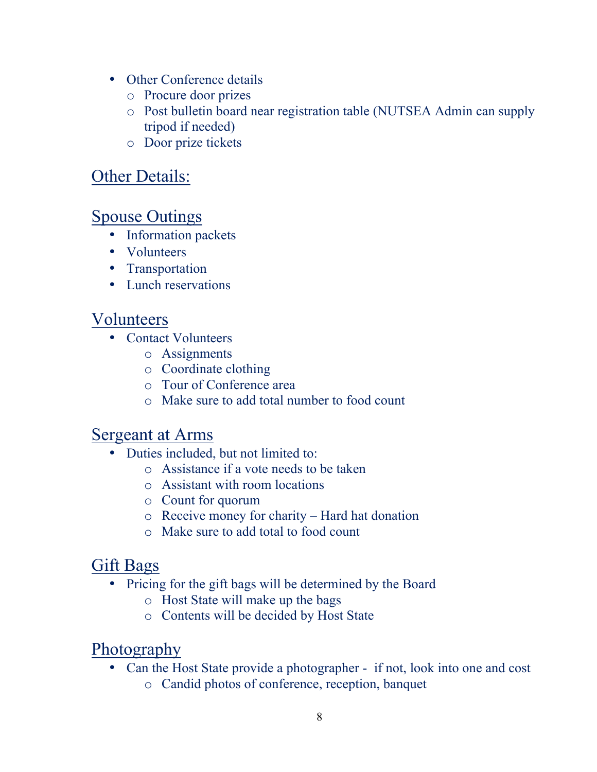- Other Conference details
	- o Procure door prizes
	- o Post bulletin board near registration table (NUTSEA Admin can supply tripod if needed)
	- o Door prize tickets

# Other Details:

## Spouse Outings

- Information packets
- Volunteers
- Transportation
- Lunch reservations

### Volunteers

- Contact Volunteers
	- o Assignments
	- o Coordinate clothing
	- o Tour of Conference area
	- o Make sure to add total number to food count

### Sergeant at Arms

- Duties included, but not limited to:
	- o Assistance if a vote needs to be taken
	- o Assistant with room locations
	- o Count for quorum
	- o Receive money for charity Hard hat donation
	- o Make sure to add total to food count

### Gift Bags

- Pricing for the gift bags will be determined by the Board
	- o Host State will make up the bags
	- o Contents will be decided by Host State

# Photography

- Can the Host State provide a photographer if not, look into one and cost
	- o Candid photos of conference, reception, banquet